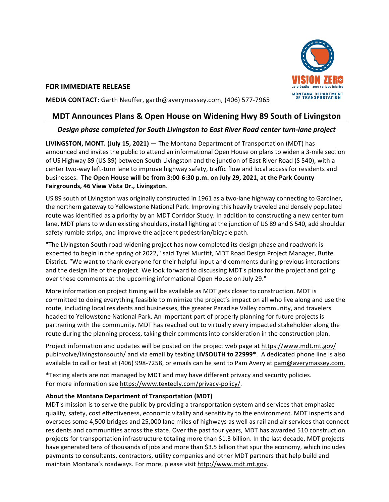

## **FOR IMMEDIATE RELEASE**

**MEDIA CONTACT:** Garth Neuffer, garth@averymassey.com, (406) 577-7965

## **MDT Announces Plans & Open House on Widening Hwy 89 South of Livingston**

## Design phase completed for South Livingston to East River Road center turn-lane project

**LIVINGSTON, MONT. (July 15, 2021)** — The Montana Department of Transportation (MDT) has announced and invites the public to attend an informational Open House on plans to widen a 3-mile section of US Highway 89 (US 89) between South Livingston and the junction of East River Road (S 540), with a center two-way left-turn lane to improve highway safety, traffic flow and local access for residents and businesses. The Open House will be from 3:00-6:30 p.m. on July 29, 2021, at the Park County **Fairgrounds, 46 View Vista Dr., Livingston**.

US 89 south of Livingston was originally constructed in 1961 as a two-lane highway connecting to Gardiner, the northern gateway to Yellowstone National Park. Improving this heavily traveled and densely populated route was identified as a priority by an MDT Corridor Study. In addition to constructing a new center turn lane, MDT plans to widen existing shoulders, install lighting at the junction of US 89 and S 540, add shoulder safety rumble strips, and improve the adjacent pedestrian/bicycle path.

"The Livingston South road-widening project has now completed its design phase and roadwork is expected to begin in the spring of 2022," said Tyrel Murfitt, MDT Road Design Project Manager, Butte District. "We want to thank everyone for their helpful input and comments during previous interactions and the design life of the project. We look forward to discussing MDT's plans for the project and going over these comments at the upcoming informational Open House on July 29."

More information on project timing will be available as MDT gets closer to construction. MDT is committed to doing everything feasible to minimize the project's impact on all who live along and use the route, including local residents and businesses, the greater Paradise Valley community, and travelers headed to Yellowstone National Park. An important part of properly planning for future projects is partnering with the community. MDT has reached out to virtually every impacted stakeholder along the route during the planning process, taking their comments into consideration in the construction plan.

Project information and updates will be posted on the project web page at https://www.mdt.mt.gov/ pubinvolve/livingstonsouth/ and via email by texting LIVSOUTH to 22999<sup>\*</sup>. A dedicated phone line is also available to call or text at (406) 998-7258, or emails can be sent to Pam Avery at pam@averymassey.com.

\*Texting alerts are not managed by MDT and may have different privacy and security policies. For more information see https://www.textedly.com/privacy-policy/.

## About the Montana Department of Transportation (MDT)

MDT's mission is to serve the public by providing a transportation system and services that emphasize quality, safety, cost effectiveness, economic vitality and sensitivity to the environment. MDT inspects and oversees some 4,500 bridges and 25,000 lane miles of highways as well as rail and air services that connect residents and communities across the state. Over the past four years, MDT has awarded 510 construction projects for transportation infrastructure totaling more than \$1.3 billion. In the last decade, MDT projects have generated tens of thousands of jobs and more than \$3.5 billion that spur the economy, which includes payments to consultants, contractors, utility companies and other MDT partners that help build and maintain Montana's roadways. For more, please visit http://www.mdt.mt.gov.